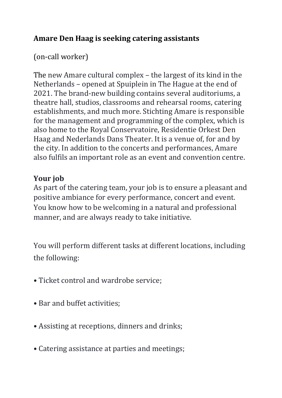### **Amare Den Haag is seeking catering assistants**

(on-call worker)

The new Amare cultural complex – the largest of its kind in the Netherlands – opened at Spuiplein in The Hague at the end of 2021. The brand-new building contains several auditoriums, a theatre hall, studios, classrooms and rehearsal rooms, catering establishments, and much more. Stichting Amare is responsible for the management and programming of the complex, which is also home to the Royal Conservatoire, Residentie Orkest Den Haag and Nederlands Dans Theater. It is a venue of, for and by the city. In addition to the concerts and performances, Amare also fulfils an important role as an event and convention centre.

### **Your job**

As part of the catering team, your job is to ensure a pleasant and positive ambiance for every performance, concert and event. You know how to be welcoming in a natural and professional manner, and are always ready to take initiative.

You will perform different tasks at different locations, including the following:

- Ticket control and wardrobe service;
- Bar and buffet activities;
- Assisting at receptions, dinners and drinks;
- Catering assistance at parties and meetings;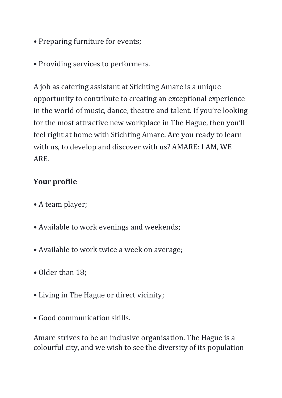- Preparing furniture for events;
- Providing services to performers.

A job as catering assistant at Stichting Amare is a unique opportunity to contribute to creating an exceptional experience in the world of music, dance, theatre and talent. If you're looking for the most attractive new workplace in The Hague, then you'll feel right at home with Stichting Amare. Are you ready to learn with us, to develop and discover with us? AMARE: I AM, WE ARE.

## **Your profile**

- A team player;
- Available to work evenings and weekends;
- Available to work twice a week on average;
- Older than 18:
- Living in The Hague or direct vicinity;
- Good communication skills.

Amare strives to be an inclusive organisation. The Hague is a colourful city, and we wish to see the diversity of its population